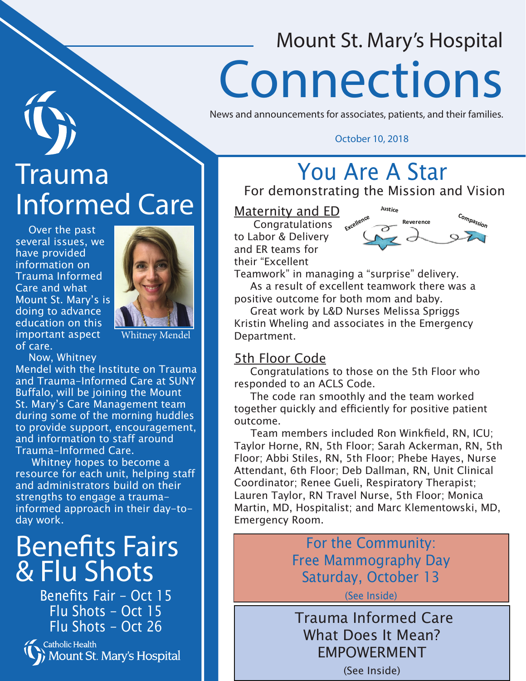# Mount St. Mary's Hospital Connections

News and announcements for associates, patients, and their families.

### October 10, 2018

# Trauma Informed Care

 Over the past several issues, we have provided information on Trauma Informed Care and what Mount St. Mary's is doing to advance education on this important aspect of care.



Whitney Mendel

Now, Whitney

Mendel with the Institute on Trauma and Trauma-Informed Care at SUNY Buffalo, will be joining the Mount St. Mary's Care Management team during some of the morning huddles to provide support, encouragement, and information to staff around Trauma-Informed Care.

 Whitney hopes to become a resource for each unit, helping staff and administrators build on their strengths to engage a traumainformed approach in their day-today work.

# Benefits Fairs & Flu Shots

Benefits Fair - Oct 15 Flu Shots - Oct 15 Flu Shots - Oct 26

Catholic Health Mount St. Mary's Hospital

## You Are A Star

For demonstrating the Mission and Vision

Maternity and ED

 Congratulations to Labor & Delivery and ER teams for their "Excellent



Teamwork" in managing a "surprise" delivery. As a result of excellent teamwork there was a positive outcome for both mom and baby.

 Great work by L&D Nurses Melissa Spriggs Kristin Wheling and associates in the Emergency Department.

## 5th Floor Code

 Congratulations to those on the 5th Floor who responded to an ACLS Code.

 The code ran smoothly and the team worked together quickly and efficiently for positive patient outcome.

 Team members included Ron Winkfield, RN, ICU; Taylor Horne, RN, 5th Floor; Sarah Ackerman, RN, 5th Floor; Abbi Stiles, RN, 5th Floor; Phebe Hayes, Nurse Attendant, 6th Floor; Deb Dallman, RN, Unit Clinical Coordinator; Renee Gueli, Respiratory Therapist; Lauren Taylor, RN Travel Nurse, 5th Floor; Monica Martin, MD, Hospitalist; and Marc Klementowski, MD, Emergency Room.

> For the Community: Free Mammography Day Saturday, October 13

> > (See Inside)

 Trauma Informed Care What Does It Mean? EMPOWERMENT

(See Inside)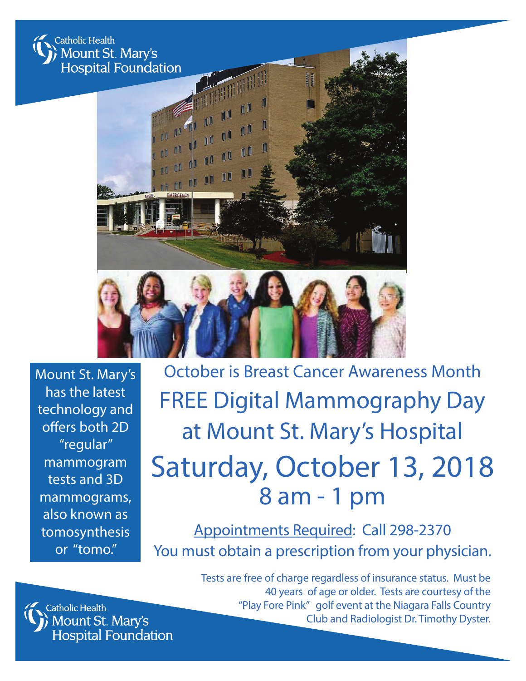

Mount St. Mary's has the latest technology and offers both 2D "regular" mammogram tests and 3D mammograms, also known as tomosynthesis or "tomo."

October is Breast Cancer Awareness Month FREE Digital Mammography Day at Mount St. Mary's Hospital Saturday, October 13, 2018 8 am - 1 pm

Appointments Required: Call 298-2370 You must obtain a prescription from your physician.



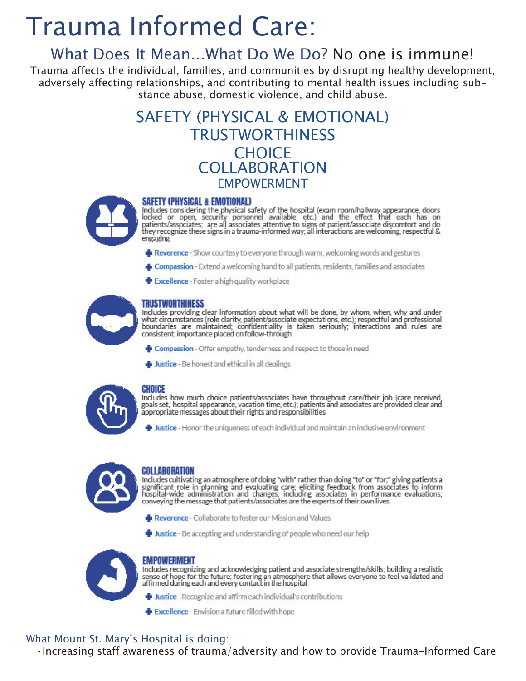# **Trauma Informed Care:**

## What Does It Mean...What Do We Do? No one is immune!

Trauma affects the individual, families, and communities by disrupting healthy development, adversely affecting relationships, and contributing to mental health issues including substance abuse, domestic violence, and child abuse.

## **SAFETY (PHYSICAL & EMOTIONAL) TRUSTWORTHINESS CHOICE COLLABORATION FMPOWFRMFNT**



### **SAFETY (PHYSICAL & EMOTIONAL)**

Includes considering the physical safety of the hospital (exam room/hallway appearance, doors locked or open, security personnel available, etc.) and the effect that each has on patients/associates; are all associates atte engaging

- Reverence Show courtesy to everyone through warm, welcoming words and gestures
- **E** Compassion Extend a welcoming hand to all patients, residents, families and associates
- Excellence Foster a high quality workplace

### TRUSTWORTHINESS

Includes providing clear information about what will be done, by whom, when, why and under what circumstances (role clarity, patient/associate expectations, etc.); respectful and professional boundaries are maintained; confidentiality is taken seriously; interactions and rules are consistent; importance placed o

- Compassion Offer empathy, tenderness and respect to those in need
- Justice Be honest and ethical in all dealings



#### **CHOICE**

uncludes how much choice patients/associates have throughout care/their job (care received, goals set, hospital appearance, vacation time, etc.); patients and associates are provided clear and appropriate messages about th

**Uposition**: Honor the uniqueness of each individual and maintain an inclusive environment



#### COLLABORATION

Includes cultivating an atmosphere of doing "with" rather than doing "to" or "for;" giving patients a significant role in planning and evaluating care; eliciting feedback from associates to inform hospital-wide administrat

- Reverence Collaborate to foster our Mission and Values
- Justice Be accepting and understanding of people who need our help



### EMPOWERMENT

Includes recognizing and acknowledging patient and associate strengths/skills; building a realistic<br>sense of hope for the future; fostering an atmosphere that allows everyone to feel validated and<br>affirmed during each and

- Justice Recognize and affirm each individual's contributions
- Excellence Envision a future filled with hope

### What Mount St. Mary's Hospital is doing:

· Increasing staff awareness of trauma/adversity and how to provide Trauma-Informed Care